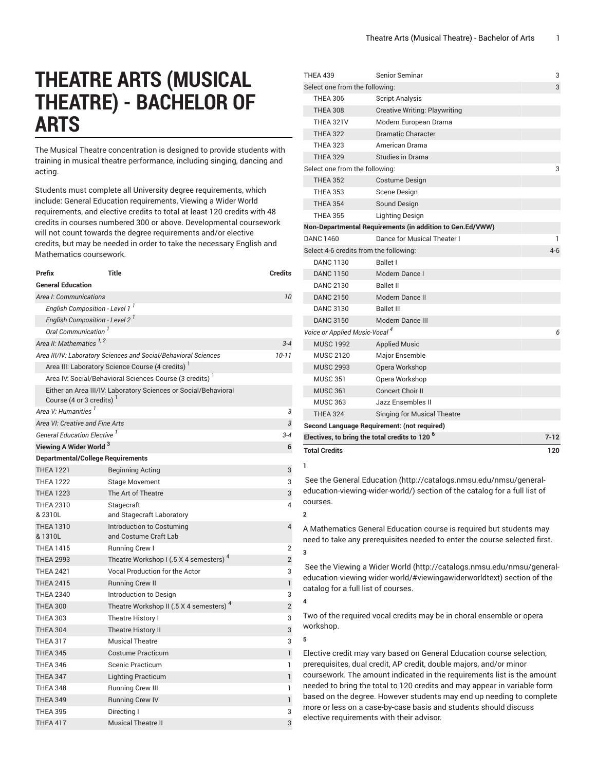# **THEATRE ARTS (MUSICAL THEATRE) - BACHELOR OF ARTS**

The Musical Theatre concentration is designed to provide students with training in musical theatre performance, including singing, dancing and acting.

Students must complete all University degree requirements, which include: General Education requirements, Viewing a Wider World requirements, and elective credits to total at least 120 credits with 48 credits in courses numbered 300 or above. Developmental coursework will not count towards the degree requirements and/or elective credits, but may be needed in order to take the necessary English and Mathematics coursework.

| Prefix                                     | Title                                                           | <b>Credits</b> |
|--------------------------------------------|-----------------------------------------------------------------|----------------|
| <b>General Education</b>                   |                                                                 |                |
| Area I: Communications                     |                                                                 | 10             |
| English Composition - Level 1 <sup>1</sup> |                                                                 |                |
| English Composition - Level 2'             |                                                                 |                |
| Oral Communication <sup>'</sup>            |                                                                 |                |
| Area II: Mathematics <sup>1,2</sup>        |                                                                 | $3 - 4$        |
|                                            | Area III/IV: Laboratory Sciences and Social/Behavioral Sciences | $10 - 11$      |
|                                            | Area III: Laboratory Science Course (4 credits)                 |                |
|                                            | Area IV: Social/Behavioral Sciences Course (3 credits)          |                |
| Course (4 or 3 credits)                    | Either an Area III/IV: Laboratory Sciences or Social/Behavioral |                |
| Area V: Humanities <sup>1</sup>            |                                                                 | З              |
| Area VI: Creative and Fine Arts            |                                                                 |                |
| General Education Elective <sup>1</sup>    |                                                                 |                |
| Viewing A Wider World <sup>3</sup>         |                                                                 |                |
| <b>Departmental/College Requirements</b>   |                                                                 |                |
| <b>THEA 1221</b>                           | <b>Beginning Acting</b>                                         | 3              |
| <b>THEA 1222</b>                           | <b>Stage Movement</b>                                           | 3              |
| <b>THEA 1223</b>                           | The Art of Theatre                                              | 3              |
| <b>THEA 2310</b><br>& 2310L                | Stagecraft<br>and Stagecraft Laboratory                         | 4              |
| <b>THEA 1310</b><br>& 1310L                | Introduction to Costuming<br>and Costume Craft Lab              | $\overline{4}$ |
| <b>THEA 1415</b>                           | <b>Running Crew I</b>                                           | 2              |
| <b>THEA 2993</b>                           | Theatre Workshop I (.5 X 4 semesters) <sup>4</sup>              | $\overline{2}$ |
| <b>THEA 2421</b>                           | <b>Vocal Production for the Actor</b>                           | 3              |
| <b>THEA 2415</b>                           | <b>Running Crew II</b>                                          | $\mathbf{1}$   |
| <b>THEA 2340</b>                           | Introduction to Design                                          | 3              |
| <b>THEA 300</b>                            | Theatre Workshop II (.5 X 4 semesters) <sup>4</sup>             | $\overline{2}$ |
| <b>THEA 303</b>                            | Theatre History I                                               | 3              |
| <b>THEA 304</b>                            | <b>Theatre History II</b>                                       | 3              |
| <b>THEA 317</b>                            | <b>Musical Theatre</b>                                          | 3              |
| <b>THEA 345</b>                            | Costume Practicum                                               | $\mathbf{1}$   |
| <b>THEA 346</b>                            | <b>Scenic Practicum</b>                                         | 1              |
| <b>THEA 347</b>                            | <b>Lighting Practicum</b>                                       | 1              |
| <b>THEA 348</b>                            | <b>Running Crew III</b>                                         | 1              |
| <b>THEA 349</b>                            | <b>Running Crew IV</b>                                          | $\mathbf{1}$   |
| <b>THEA 395</b>                            | Directing I                                                     | 3              |
| <b>THEA 417</b>                            | <b>Musical Theatre II</b>                                       | 3              |

| <b>THEA 439</b>                                           | Senior Seminar                                            | 3       |
|-----------------------------------------------------------|-----------------------------------------------------------|---------|
| Select one from the following:                            |                                                           | 3       |
| <b>THEA 306</b>                                           | <b>Script Analysis</b>                                    |         |
| <b>THEA 308</b>                                           | <b>Creative Writing: Playwriting</b>                      |         |
| <b>THEA 321V</b>                                          | Modern European Drama                                     |         |
| <b>THEA 322</b>                                           | Dramatic Character                                        |         |
| <b>THEA 323</b>                                           | American Drama                                            |         |
| <b>THEA 329</b>                                           | <b>Studies in Drama</b>                                   |         |
| Select one from the following:                            |                                                           | 3       |
| <b>THEA 352</b>                                           | <b>Costume Design</b>                                     |         |
| <b>THEA 353</b>                                           | Scene Design                                              |         |
| <b>THEA 354</b>                                           | Sound Design                                              |         |
| <b>THEA 355</b>                                           | <b>Lighting Design</b>                                    |         |
|                                                           | Non-Departmental Requirements (in addition to Gen.Ed/VWW) |         |
| <b>DANC 1460</b>                                          | Dance for Musical Theater I                               | 1       |
| Select 4-6 credits from the following:                    |                                                           | $4 - 6$ |
| <b>DANC 1130</b>                                          | Ballet I                                                  |         |
| <b>DANC 1150</b>                                          | Modern Dance I                                            |         |
| <b>DANC 2130</b>                                          | <b>Ballet II</b>                                          |         |
| <b>DANC 2150</b>                                          | Modern Dance II                                           |         |
| <b>DANC 3130</b>                                          | <b>Ballet III</b>                                         |         |
| <b>DANC 3150</b>                                          | Modern Dance III                                          |         |
| Voice or Applied Music-Vocal <sup>4</sup>                 |                                                           |         |
| <b>MUSC 1992</b>                                          | <b>Applied Music</b>                                      |         |
| <b>MUSC 2120</b>                                          | Major Ensemble                                            |         |
| <b>MUSC 2993</b>                                          | Opera Workshop                                            |         |
| <b>MUSC 351</b>                                           | Opera Workshop                                            |         |
| <b>MUSC 361</b>                                           | Concert Choir II                                          |         |
| <b>MUSC 363</b>                                           | Jazz Ensembles II                                         |         |
| <b>THEA 324</b>                                           | <b>Singing for Musical Theatre</b>                        |         |
|                                                           | Second Language Requirement: (not required)               |         |
| Electives, to bring the total credits to 120 <sup>6</sup> |                                                           |         |
| <b>Total Credits</b>                                      |                                                           | 120     |
| ı.                                                        |                                                           |         |

 See the General [Education](http://catalogs.nmsu.edu/nmsu/general-education-viewing-wider-world/) ([http://catalogs.nmsu.edu/nmsu/general](http://catalogs.nmsu.edu/nmsu/general-education-viewing-wider-world/)[education-viewing-wider-world/\)](http://catalogs.nmsu.edu/nmsu/general-education-viewing-wider-world/) section of the catalog for a full list of courses.

A Mathematics General Education course is required but students may need to take any prerequisites needed to enter the course selected first. **3**

 See the [Viewing](http://catalogs.nmsu.edu/nmsu/general-education-viewing-wider-world/#viewingawiderworldtext) a Wider World [\(http://catalogs.nmsu.edu/nmsu/general](http://catalogs.nmsu.edu/nmsu/general-education-viewing-wider-world/#viewingawiderworldtext)[education-viewing-wider-world/#viewingawiderworldtext\)](http://catalogs.nmsu.edu/nmsu/general-education-viewing-wider-world/#viewingawiderworldtext) section of the catalog for a full list of courses.

Two of the required vocal credits may be in choral ensemble or opera workshop.

**5**

**4**

**2**

Elective credit may vary based on General Education course selection, prerequisites, dual credit, AP credit, double majors, and/or minor coursework. The amount indicated in the requirements list is the amount needed to bring the total to 120 credits and may appear in variable form based on the degree. However students may end up needing to complete more or less on a case-by-case basis and students should discuss elective requirements with their advisor.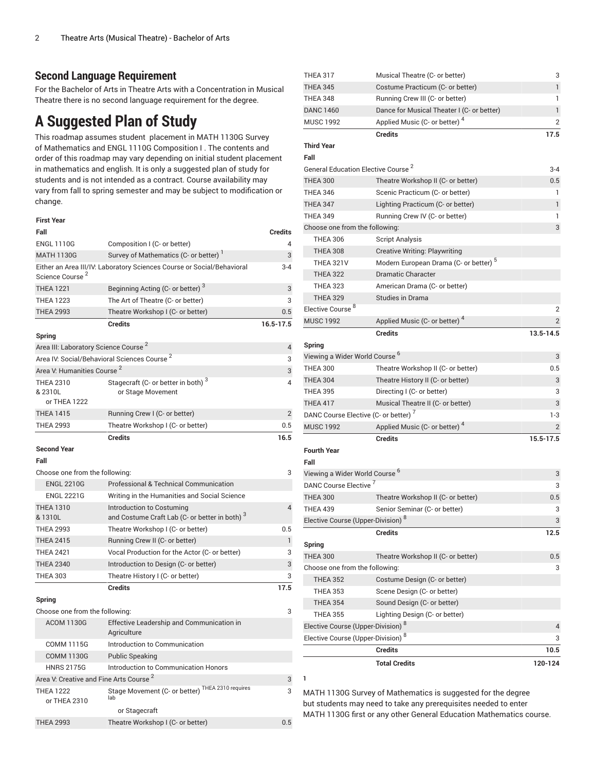### **Second Language Requirement**

For the Bachelor of Arts in Theatre Arts with a Concentration in Musical Theatre there is no second language requirement for the degree.

## **A Suggested Plan of Study**

This roadmap assumes student placement in MATH 1130G Survey of Mathematics and ENGL 1110G Composition I . The contents and order of this roadmap may vary depending on initial student placement in mathematics and english. It is only a suggested plan of study for students and is not intended as a contract. Course availability may vary from fall to spring semester and may be subject to modification or change.

#### **First Year**

| Fall                                               |                                                                        | <b>Credits</b> |
|----------------------------------------------------|------------------------------------------------------------------------|----------------|
| <b>ENGL 1110G</b>                                  | Composition I (C- or better)                                           | 4              |
| <b>MATH 1130G</b>                                  | Survey of Mathematics (C- or better)                                   | 3              |
| Science Course <sup>2</sup>                        | Either an Area III/IV: Laboratory Sciences Course or Social/Behavioral | $3 - 4$        |
| <b>THEA 1221</b>                                   | Beginning Acting (C- or better) <sup>3</sup>                           | 3              |
| <b>THEA 1223</b>                                   | The Art of Theatre (C- or better)                                      | 3              |
| <b>THEA 2993</b>                                   | Theatre Workshop I (C- or better)                                      | 0.5            |
|                                                    | <b>Credits</b>                                                         | 16.5-17.5      |
| Spring                                             |                                                                        |                |
| Area III: Laboratory Science Course <sup>2</sup>   |                                                                        | $\overline{4}$ |
|                                                    | Area IV: Social/Behavioral Sciences Course <sup>2</sup>                | 3              |
| Area V: Humanities Course <sup>2</sup>             |                                                                        | 3              |
| <b>THEA 2310</b><br>& 2310L<br>or THEA 1222        | Stagecraft (C- or better in both) <sup>3</sup><br>or Stage Movement    | 4              |
| <b>THEA 1415</b>                                   | Running Crew I (C- or better)                                          | $\overline{2}$ |
| <b>THEA 2993</b>                                   | Theatre Workshop I (C- or better)                                      | 0.5            |
|                                                    | <b>Credits</b>                                                         | 16.5           |
| <b>Second Year</b>                                 |                                                                        |                |
| Fall                                               |                                                                        |                |
| Choose one from the following:                     |                                                                        | 3              |
| <b>ENGL 2210G</b>                                  | Professional & Technical Communication                                 |                |
| <b>ENGL 2221G</b>                                  | Writing in the Humanities and Social Science                           |                |
| <b>THEA 1310</b>                                   | Introduction to Costuming                                              | $\overline{4}$ |
| & 1310L                                            | and Costume Craft Lab (C- or better in both) <sup>3</sup>              |                |
| <b>THEA 2993</b>                                   | Theatre Workshop I (C- or better)                                      | 0.5            |
| <b>THEA 2415</b>                                   | Running Crew II (C- or better)                                         | $\mathbf{1}$   |
| <b>THEA 2421</b>                                   | Vocal Production for the Actor (C- or better)                          | 3              |
| <b>THEA 2340</b>                                   | Introduction to Design (C- or better)                                  | 3              |
| <b>THEA 303</b>                                    | Theatre History I (C- or better)                                       | 3              |
|                                                    | <b>Credits</b>                                                         | 17.5           |
| Spring                                             |                                                                        |                |
| Choose one from the following:                     |                                                                        | 3              |
| <b>ACOM 1130G</b>                                  | Effective Leadership and Communication in                              |                |
|                                                    | Agriculture                                                            |                |
| <b>COMM 1115G</b>                                  | Introduction to Communication                                          |                |
| <b>COMM 1130G</b>                                  | <b>Public Speaking</b>                                                 |                |
| <b>HNRS 2175G</b>                                  | Introduction to Communication Honors                                   |                |
| Area V: Creative and Fine Arts Course <sup>2</sup> |                                                                        | 3              |
| <b>THEA 1222</b><br>or THEA 2310                   | Stage Movement (C- or better) THEA 2310 requires<br>lab                | 3              |
| <b>THEA 2993</b>                                   | or Stagecraft                                                          | 0.5            |
|                                                    | Theatre Workshop I (C- or better)                                      |                |

| <b>THEA 317</b>                                    | Musical Theatre (C- or better)                    | 3              |  |
|----------------------------------------------------|---------------------------------------------------|----------------|--|
| <b>THEA 345</b>                                    | Costume Practicum (C- or better)                  | 1              |  |
| <b>THEA 348</b>                                    | Running Crew III (C- or better)                   | 1              |  |
| <b>DANC 1460</b>                                   | Dance for Musical Theater I (C- or better)        | 1              |  |
| <b>MUSC 1992</b>                                   | Applied Music (C- or better) <sup>4</sup>         | 2              |  |
|                                                    | <b>Credits</b>                                    | 17.5           |  |
| <b>Third Year</b>                                  |                                                   |                |  |
| Fall                                               |                                                   |                |  |
| General Education Elective Course <sup>2</sup>     |                                                   | $3 - 4$        |  |
| <b>THEA 300</b>                                    | Theatre Workshop II (C- or better)                | 0.5            |  |
| <b>THEA 346</b>                                    | Scenic Practicum (C- or better)                   | 1              |  |
| <b>THEA 347</b>                                    | Lighting Practicum (C- or better)                 | $\mathbf{1}$   |  |
| <b>THEA 349</b>                                    | Running Crew IV (C- or better)                    | 1              |  |
| Choose one from the following:                     |                                                   | 3              |  |
| <b>THEA 306</b>                                    | <b>Script Analysis</b>                            |                |  |
| <b>THEA 308</b>                                    | <b>Creative Writing: Playwriting</b>              |                |  |
| <b>THEA 321V</b>                                   | Modern European Drama (C- or better) <sup>5</sup> |                |  |
| <b>THEA 322</b>                                    | <b>Dramatic Character</b>                         |                |  |
| <b>THEA 323</b>                                    | American Drama (C- or better)                     |                |  |
| <b>THEA 329</b>                                    | <b>Studies in Drama</b>                           |                |  |
| Elective Course <sup>8</sup>                       |                                                   | 2              |  |
| <b>MUSC 1992</b>                                   | Applied Music (C- or better) <sup>4</sup>         | $\overline{2}$ |  |
|                                                    | <b>Credits</b>                                    | 13.5-14.5      |  |
| Spring                                             |                                                   |                |  |
| Viewing a Wider World Course <sup>6</sup>          |                                                   | 3              |  |
| <b>THEA 300</b>                                    | Theatre Workshop II (C- or better)                | 0.5            |  |
| <b>THEA 304</b>                                    | Theatre History II (C- or better)                 | 3              |  |
| <b>THEA 395</b>                                    | Directing I (C- or better)                        | 3              |  |
| <b>THEA 417</b>                                    | Musical Theatre II (C- or better)                 | 3              |  |
| DANC Course Elective (C- or better) <sup>7</sup>   |                                                   | $1-3$          |  |
| <b>MUSC 1992</b>                                   | Applied Music (C- or better) <sup>4</sup>         | $\overline{2}$ |  |
|                                                    | <b>Credits</b>                                    | 15.5-17.5      |  |
| <b>Fourth Year</b>                                 |                                                   |                |  |
| Fall                                               |                                                   |                |  |
| Viewing a Wider World Course <sup>6</sup>          |                                                   | 3              |  |
| DANC Course Elective <sup>7</sup>                  |                                                   | 3              |  |
| <b>THEA 300</b>                                    | Theatre Workshop II (C- or better)                | 0.5            |  |
| <b>THEA 439</b>                                    | Senior Seminar (C- or better)                     | 3              |  |
| Elective Course (Upper-Division) <sup>8</sup>      |                                                   | 3              |  |
|                                                    | <b>Credits</b>                                    | 12.5           |  |
| Spring                                             |                                                   |                |  |
| <b>THEA 300</b>                                    | Theatre Workshop II (C- or better)                | 0.5            |  |
| Choose one from the following:                     |                                                   | 3              |  |
| <b>THEA 352</b>                                    | Costume Design (C- or better)                     |                |  |
| <b>THEA 353</b>                                    | Scene Design (C- or better)                       |                |  |
| <b>THEA 354</b>                                    | Sound Design (C- or better)                       |                |  |
| <b>THEA 355</b>                                    | Lighting Design (C- or better)                    |                |  |
| Elective Course (Upper-Division) <sup>8</sup>      |                                                   | 4              |  |
| Elective Course (Upper-Division) <sup>8</sup><br>3 |                                                   |                |  |
|                                                    | <b>Credits</b>                                    | 10.5           |  |
|                                                    | <b>Total Credits</b>                              | 120-124        |  |
|                                                    |                                                   |                |  |

MATH 1130G Survey of Mathematics is suggested for the degree but students may need to take any prerequisites needed to enter MATH 1130G first or any other General Education Mathematics course.

**1**